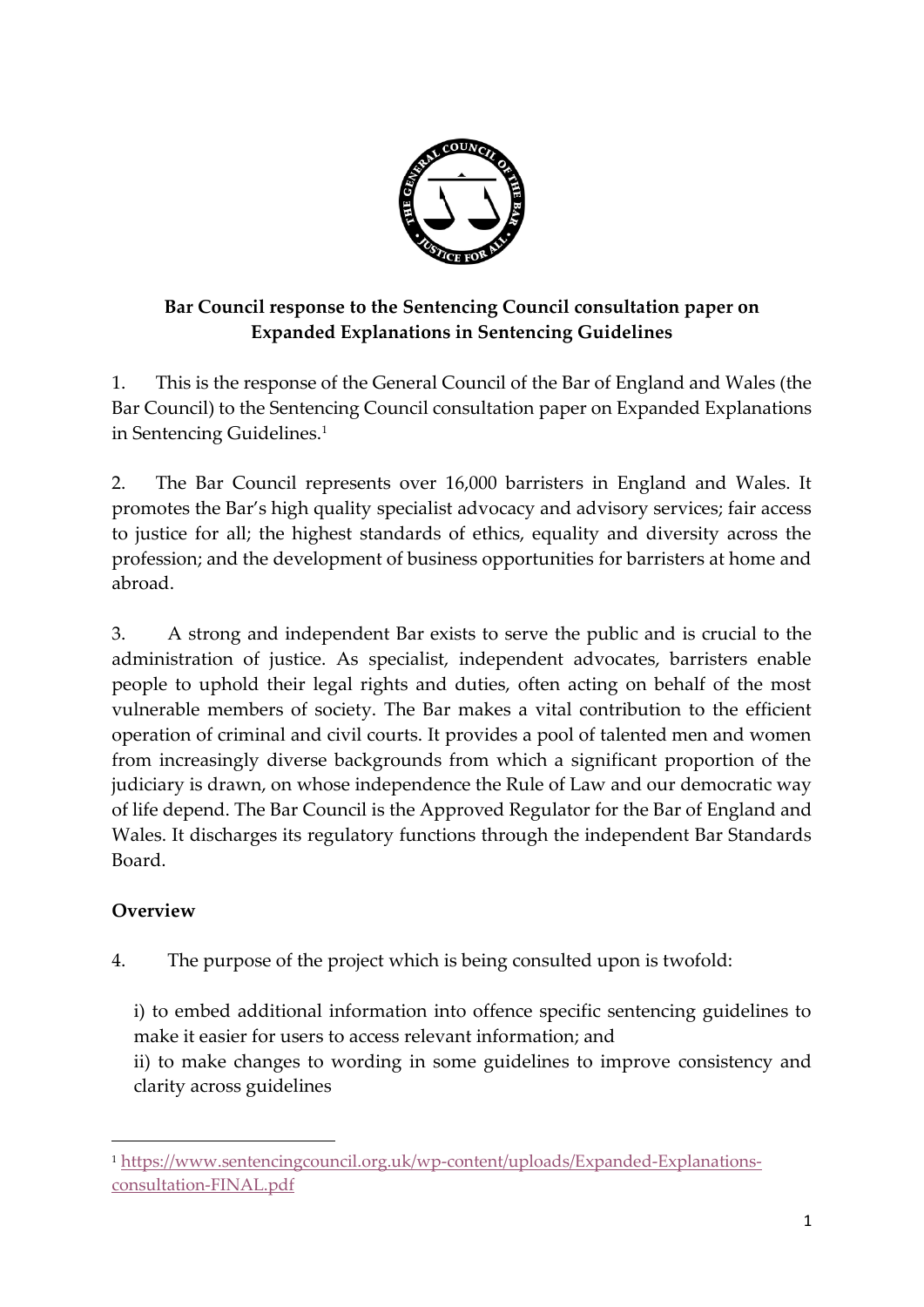

## **Bar Council response to the Sentencing Council consultation paper on Expanded Explanations in Sentencing Guidelines**

1. This is the response of the General Council of the Bar of England and Wales (the Bar Council) to the Sentencing Council consultation paper on Expanded Explanations in Sentencing Guidelines.<sup>1</sup>

2. The Bar Council represents over 16,000 barristers in England and Wales. It promotes the Bar's high quality specialist advocacy and advisory services; fair access to justice for all; the highest standards of ethics, equality and diversity across the profession; and the development of business opportunities for barristers at home and abroad.

3. A strong and independent Bar exists to serve the public and is crucial to the administration of justice. As specialist, independent advocates, barristers enable people to uphold their legal rights and duties, often acting on behalf of the most vulnerable members of society. The Bar makes a vital contribution to the efficient operation of criminal and civil courts. It provides a pool of talented men and women from increasingly diverse backgrounds from which a significant proportion of the judiciary is drawn, on whose independence the Rule of Law and our democratic way of life depend. The Bar Council is the Approved Regulator for the Bar of England and Wales. It discharges its regulatory functions through the independent Bar Standards Board.

## **Overview**

1

4. The purpose of the project which is being consulted upon is twofold:

i) to embed additional information into offence specific sentencing guidelines to make it easier for users to access relevant information; and

ii) to make changes to wording in some guidelines to improve consistency and clarity across guidelines

<sup>1</sup> [https://www.sentencingcouncil.org.uk/wp-content/uploads/Expanded-Explanations](https://www.sentencingcouncil.org.uk/wp-content/uploads/Expanded-Explanations-consultation-FINAL.pdf)[consultation-FINAL.pdf](https://www.sentencingcouncil.org.uk/wp-content/uploads/Expanded-Explanations-consultation-FINAL.pdf)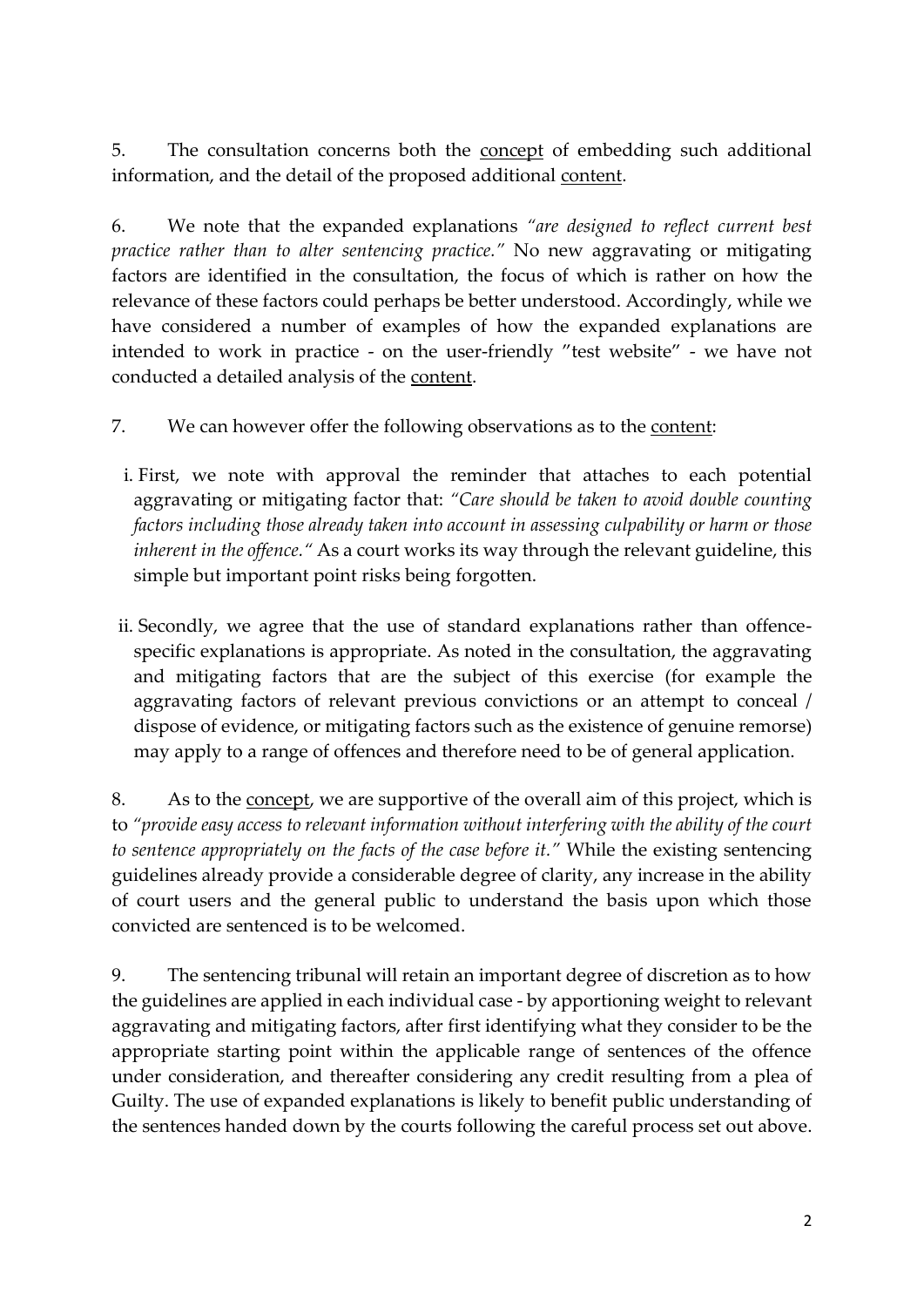5. The consultation concerns both the concept of embedding such additional information, and the detail of the proposed additional content.

6. We note that the expanded explanations *"are designed to reflect current best practice rather than to alter sentencing practice."* No new aggravating or mitigating factors are identified in the consultation, the focus of which is rather on how the relevance of these factors could perhaps be better understood. Accordingly, while we have considered a number of examples of how the expanded explanations are intended to work in practice - on the user-friendly "test website" - we have not conducted a detailed analysis of the content.

7. We can however offer the following observations as to the content:

- i. First, we note with approval the reminder that attaches to each potential aggravating or mitigating factor that: *"Care should be taken to avoid double counting factors including those already taken into account in assessing culpability or harm or those inherent in the offence."* As a court works its way through the relevant guideline, this simple but important point risks being forgotten.
- ii. Secondly, we agree that the use of standard explanations rather than offencespecific explanations is appropriate. As noted in the consultation, the aggravating and mitigating factors that are the subject of this exercise (for example the aggravating factors of relevant previous convictions or an attempt to conceal / dispose of evidence, or mitigating factors such as the existence of genuine remorse) may apply to a range of offences and therefore need to be of general application.

8. As to the concept, we are supportive of the overall aim of this project, which is to *"provide easy access to relevant information without interfering with the ability of the court to sentence appropriately on the facts of the case before it."* While the existing sentencing guidelines already provide a considerable degree of clarity, any increase in the ability of court users and the general public to understand the basis upon which those convicted are sentenced is to be welcomed.

9. The sentencing tribunal will retain an important degree of discretion as to how the guidelines are applied in each individual case - by apportioning weight to relevant aggravating and mitigating factors, after first identifying what they consider to be the appropriate starting point within the applicable range of sentences of the offence under consideration, and thereafter considering any credit resulting from a plea of Guilty. The use of expanded explanations is likely to benefit public understanding of the sentences handed down by the courts following the careful process set out above.